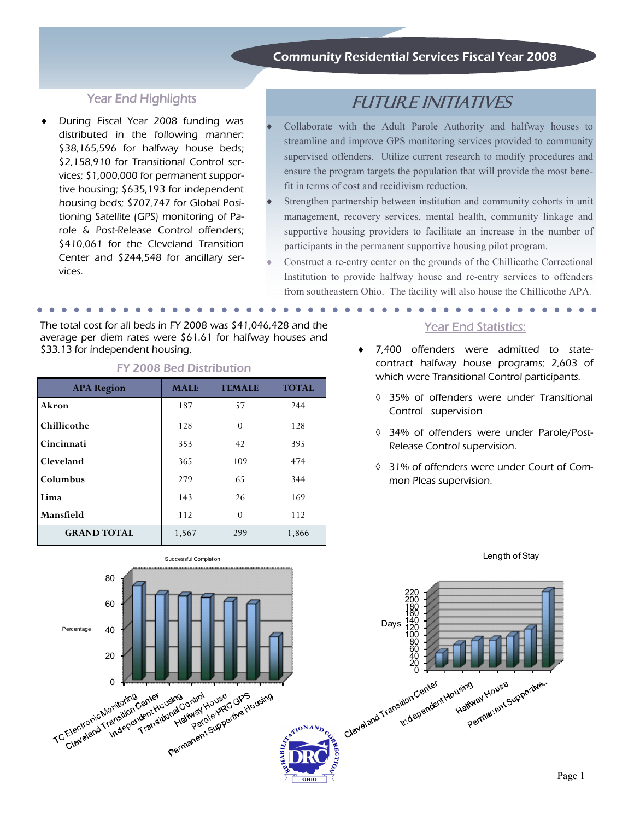# Community Residential Services Fiscal Year 2008

# Year End Highlights

During Fiscal Year 2008 funding was distributed in the following manner: \$38,165,596 for halfway house beds; \$2,158,910 for Transitional Control services; \$1,000,000 for permanent supportive housing; \$635,193 for independent housing beds; \$707,747 for Global Positioning Satellite (GPS) monitoring of Parole & Post-Release Control offenders; \$410,061 for the Cleveland Transition Center and \$244,548 for ancillary services.

# FUTURE INITIATIVES

- Collaborate with the Adult Parole Authority and halfway houses to streamline and improve GPS monitoring services provided to community supervised offenders. Utilize current research to modify procedures and ensure the program targets the population that will provide the most benefit in terms of cost and recidivism reduction.
- Strengthen partnership between institution and community cohorts in unit management, recovery services, mental health, community linkage and supportive housing providers to facilitate an increase in the number of participants in the permanent supportive housing pilot program.
- Construct a re-entry center on the grounds of the Chillicothe Correctional Institution to provide halfway house and re-entry services to offenders from southeastern Ohio. The facility will also house the Chillicothe APA.

The total cost for all beds in FY 2008 was \$41,046,428 and the average per diem rates were \$61.61 for halfway houses and \$33.13 for independent housing.

#### FY 2008 Bed Distribution

| <b>APA Region</b>  | <b>MALE</b> | <b>FEMALE</b> | <b>TOTAL</b> |
|--------------------|-------------|---------------|--------------|
| Akron              | 187         | 57            | 244          |
| Chillicothe        | 128         | $\Omega$      | 128          |
| Cincinnati         | 353         | 42            | 395          |
| Cleveland          | 365         | 109           | 474          |
| Columbus           | 279         | 65            | 344          |
| Lima               | 143         | 26            | 169          |
| Mansfield          | 112         | $\theta$      | 112          |
| <b>GRAND TOTAL</b> | 1,567       | 299           | 1,866        |

#### Year End Statistics:

- ♦ 7,400 offenders were admitted to statecontract halfway house programs; 2,603 of which were Transitional Control participants.
	- ◊ 35% of offenders were under Transitional Control supervision
	- ◊ 34% of offenders were under Parole/Post-Release Control supervision.
	- ◊ 31% of offenders were under Court of Common Pleas supervision.



Length of Stay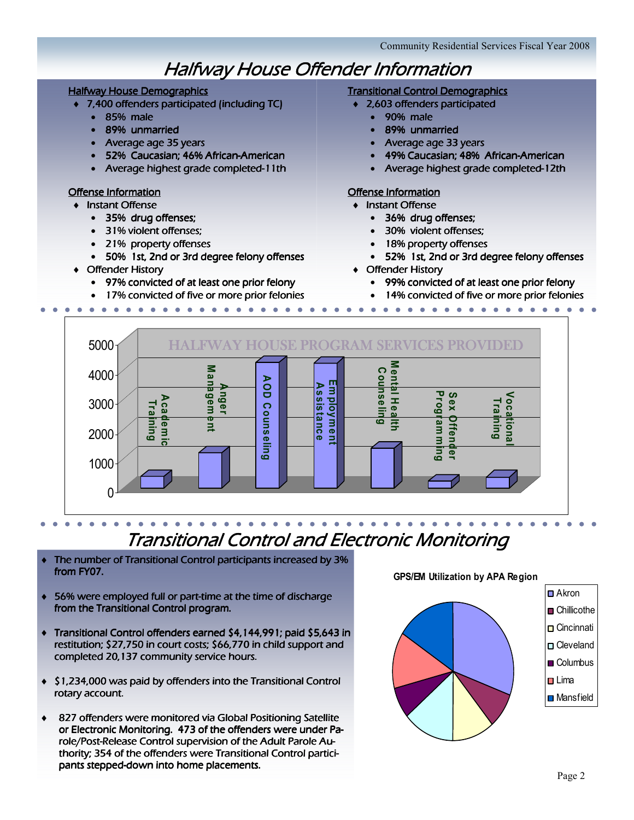# **Halfway House Offender Information**

#### Halfway House Demographics

- $\bullet$  7,400 offenders participated (including TC)
	- 85% male male
	- 89% unmarried
	- Average age 35 years
	- 52% Caucasian: 46% African-American
	- $\bullet$  Average highest grade completed-11th

#### Offense Information

#### **Instant Offense**

- 35% drug offenses;
- 31% violent offenses;
- 21% property offenses
- 50% 1st, 2nd or 3rd degree felony offenses
- $\triangleleft$  Offender History
	- 97% convicted of at least one prior felony
	- 17% convicted of five or more prior felonies

## Transitional Control Demographics

- ♦ 2,603 offenders participated 2,603 offenders participated
	- 90% male
	- 89% unmarried
	- Average age 33 years
	- 49% Caucasian: 48% African-American
	- $\bullet$  Average highest grade completed-12th

# Offense Information

- **Instant Offense** 
	- 36% drug offenses;
	- 30% violent offenses;
	- 18% property offenses
	- 52% 1st, 2nd or 3rd degree felony offenses
- $\triangleleft$  Offender History
	- 99% convicted of at least one prior felony
	- 14% convicted of five or more prior felonies



# Transitional Control and Electronic Monitoring

- ♦ The number of Transitional Control participants increased by 3% from FY07.
- $\bullet$  56% were employed full or part-time at the time of discharge from the Transitional Control program.
- ♦ Transitional Control offenders earned \$4,144,991; paid \$5,643 in restitution; \$27,750 in court costs; \$66,770 in child support and completed 20,137 community service hours.
- ♦ \$1,234,000 was paid by offenders into the Transitional Control rotary account.
- 827 offenders were monitored via Global Positioning Satellite or Electronic Monitoring. 473 of the offenders were under Parole/Post-Release Control supervision of the Adult Parole Authority; 354 of the offenders were Transitional Control participants stepped-down into home placements.

#### GPS/EM Utilization by APA Region